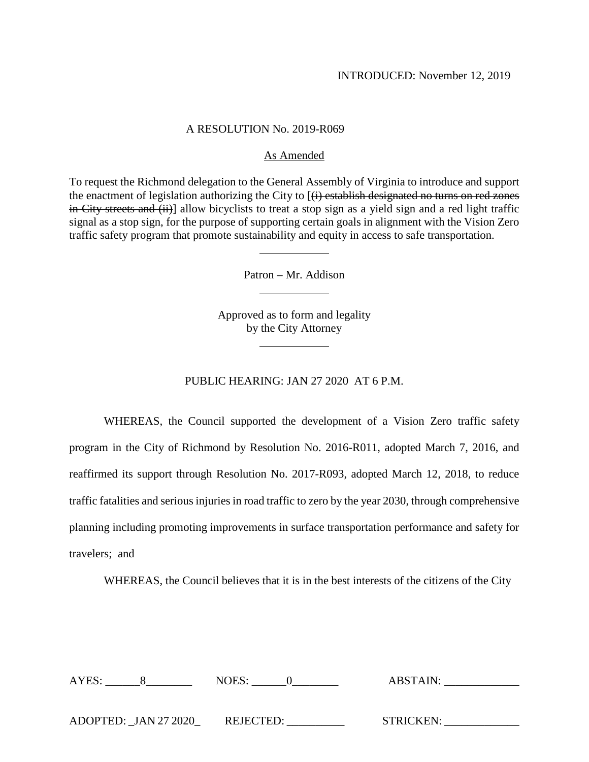### A RESOLUTION No. 2019-R069

## As Amended

To request the Richmond delegation to the General Assembly of Virginia to introduce and support the enactment of legislation authorizing the City to  $[(i)$  establish designated no turns on red zones in City streets and (ii)] allow bicyclists to treat a stop sign as a yield sign and a red light traffic signal as a stop sign, for the purpose of supporting certain goals in alignment with the Vision Zero traffic safety program that promote sustainability and equity in access to safe transportation.

Patron – Mr. Addison

Approved as to form and legality by the City Attorney

# PUBLIC HEARING: JAN 27 2020 AT 6 P.M.

WHEREAS, the Council supported the development of a Vision Zero traffic safety program in the City of Richmond by Resolution No. 2016-R011, adopted March 7, 2016, and reaffirmed its support through Resolution No. 2017-R093, adopted March 12, 2018, to reduce traffic fatalities and serious injuries in road traffic to zero by the year 2030, through comprehensive planning including promoting improvements in surface transportation performance and safety for travelers; and

WHEREAS, the Council believes that it is in the best interests of the citizens of the City

| AYES:                | NOES:            | <b>ABSTAIN:</b>  |
|----------------------|------------------|------------------|
|                      |                  |                  |
|                      |                  |                  |
| ADOPTED: JAN 27 2020 | <b>REJECTED:</b> | <b>STRICKEN:</b> |
|                      |                  |                  |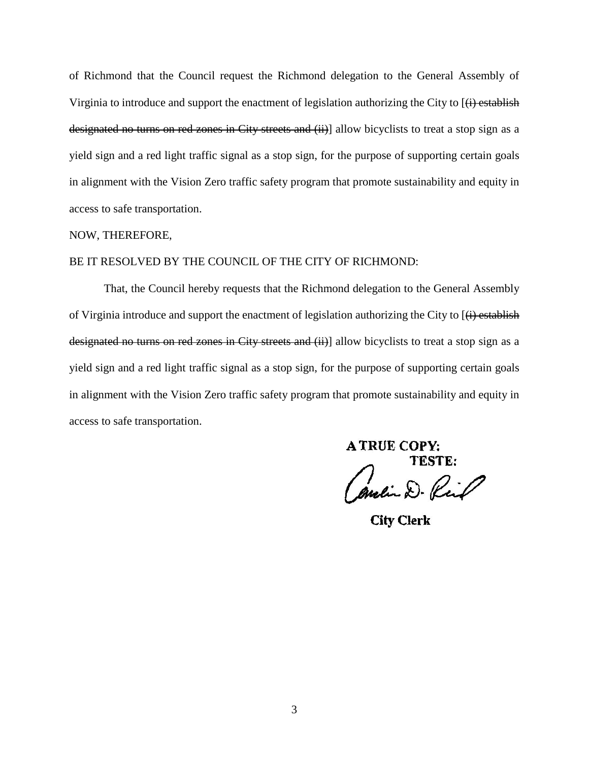of Richmond that the Council request the Richmond delegation to the General Assembly of Virginia to introduce and support the enactment of legislation authorizing the City to  $\overline{(i)}$  establish designated no turns on red zones in City streets and (ii)] allow bicyclists to treat a stop sign as a yield sign and a red light traffic signal as a stop sign, for the purpose of supporting certain goals in alignment with the Vision Zero traffic safety program that promote sustainability and equity in access to safe transportation.

### NOW, THEREFORE,

### BE IT RESOLVED BY THE COUNCIL OF THE CITY OF RICHMOND:

That, the Council hereby requests that the Richmond delegation to the General Assembly of Virginia introduce and support the enactment of legislation authorizing the City to  $[\langle \mathbf{i} \rangle]$  establish designated no turns on red zones in City streets and (ii)] allow bicyclists to treat a stop sign as a yield sign and a red light traffic signal as a stop sign, for the purpose of supporting certain goals in alignment with the Vision Zero traffic safety program that promote sustainability and equity in access to safe transportation.

**A TRUE COPY:** TESTE: Amein D. Ring

**City Clerk**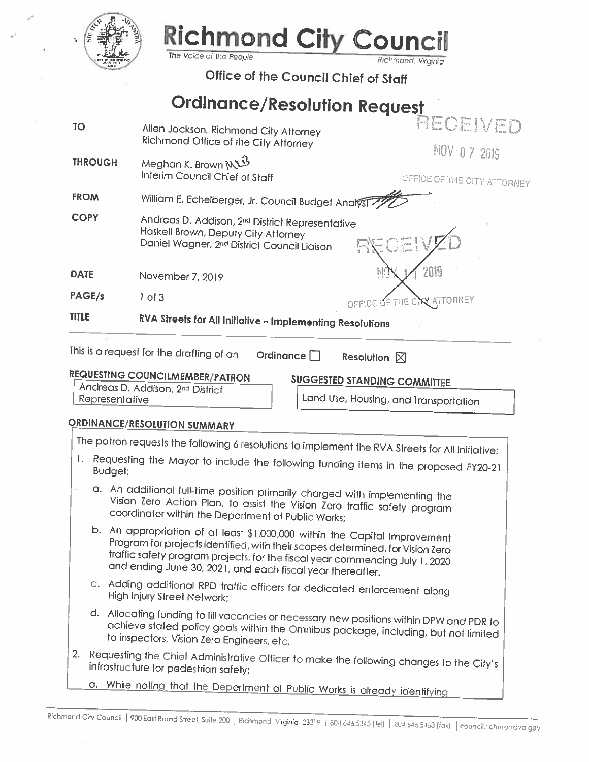

**THROUGH** 

## **Richmond City (** OIII The Voice of the People

Richmond, Virginia Office of the Council Chief of Staff

**Ordinance/Resolution Request** 

**TO** Allen Jackson, Richmond City Attorney Richmond Office of the City Attorney

> Meghan K. Brown NUS Interim Council Chief of Staff

NOV 07 2019

RECEIVED

OFFICE OF THE CITY ATTORNEY

**ATTORNEY** 

**FROM** William E. Echelberger, Jr, Council Budget Analyst

**COPY** Andreas D. Addison, 2nd District Representative Haskell Brown, Deputy City Attorney Daniel Wagner, 2<sup>nd</sup> District Council Liaison

**DATE** November 7, 2019

PAGE/s  $1$  of 3

RVA Streets for All Initiative - Implementing Resolutions **TITLE** 

| This is a request for the drafting of an |  |  |  |  |
|------------------------------------------|--|--|--|--|
|------------------------------------------|--|--|--|--|

Ordinance  $\Box$ Resolution  $\boxtimes$ 

OFFICE

# **REQUESTING COUNCILMEMBER/PATRON**

Andreas D. Addison, 2<sup>nd</sup> District Representative

**SUGGESTED STANDING COMMITTEE** 

Land Use, Housing, and Transportation

THE 0

# ORDINANCE/RESOLUTION SUMMARY

| The patron requests the following 6 resolutions to implement the RVA Streets for All Initiative:                                    |                                                                                                                                                                                                                                                                                                            |  |  |  |
|-------------------------------------------------------------------------------------------------------------------------------------|------------------------------------------------------------------------------------------------------------------------------------------------------------------------------------------------------------------------------------------------------------------------------------------------------------|--|--|--|
|                                                                                                                                     |                                                                                                                                                                                                                                                                                                            |  |  |  |
| $\mathbf{I}$ .<br>Requesting the Mayor to include the following funding items in the proposed FY20-21<br>Budget:                    |                                                                                                                                                                                                                                                                                                            |  |  |  |
|                                                                                                                                     | a. An additional full-time position primarily charged with implementing the<br>Vision Zero Action Plan, to assist the Vision Zero traffic safety program<br>coordinator within the Department of Public Works;                                                                                             |  |  |  |
|                                                                                                                                     | b. An appropriation of at least \$1,000,000 within the Capital Improvement<br>Program for projects identified, with their scopes determined, for Vision Zero<br>traffic safety program projects, for the fiscal year commencing July 1, 2020<br>and ending June 30, 2021, and each fiscal year thereafter. |  |  |  |
|                                                                                                                                     | c. Adding additional RPD traffic officers for dedicated enforcement along<br>High Injury Street Network;                                                                                                                                                                                                   |  |  |  |
|                                                                                                                                     | d. Allocating funding to fill vacancies or necessary new positions within DPW and PDR to<br>achieve stated policy goals within the Omnibus package, including, but not limited<br>to inspectors, Vision Zero Engineers, etc.                                                                               |  |  |  |
| 2. Requesting the Chief Administrative Officer to make the following changes to the City's<br>infrastructure for pedestrian safety: |                                                                                                                                                                                                                                                                                                            |  |  |  |
|                                                                                                                                     | a. While noting that the Department of Public Works is already identifying                                                                                                                                                                                                                                 |  |  |  |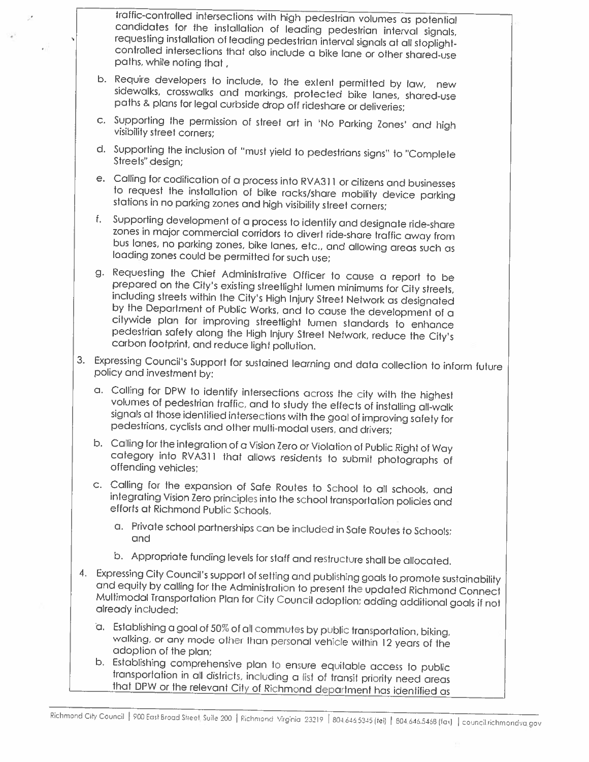traffic-controlled intersections with high pedestrian volumes as potential candidates for the installation of leading pedestrian interval signals, requesting installation of leading pedestrian interval signals at all stoplightcontrolled intersections that also include a bike lane or other shared-use paths, while noting that,

- b. Require developers to include, to the extent permitted by law, new sidewalks, crosswalks and markings, protected bike lanes, shared-use paths & plans for legal curbside drop off rideshare or deliveries;
- c. Supporting the permission of street art in 'No Parking Zones' and high visibility street corners;
- d. Supporting the inclusion of "must yield to pedestrians signs" to "Complete Streets" design:
- e. Calling for codification of a process into RVA311 or citizens and businesses to request the installation of bike racks/share mobility device parking stations in no parking zones and high visibility street corners;
- Supporting development of a process to identify and designate ride-share f. zones in major commercial corridors to divert ride-share traffic away from bus lanes, no parking zones, bike lanes, etc., and allowing areas such as loading zones could be permitted for such use;
- g. Requesting the Chief Administrative Officer to cause a report to be prepared on the City's existing streetlight lumen minimums for City streets, including streets within the City's High Injury Street Network as designated by the Department of Public Works, and to cause the development of a citywide plan for improving streetlight lumen standards to enhance pedestrian safety along the High Injury Street Network, reduce the City's carbon footprint, and reduce light pollution.
- 3. Expressing Council's Support for sustained learning and data collection to inform future policy and investment by:
	- a. Calling for DPW to identify intersections across the city with the highest volumes of pedestrian traffic, and to study the effects of installing all-walk signals at those identified intersections with the goal of improving safety for pedestrians, cyclists and other multi-modal users, and drivers;
	- b. Calling for the integration of a Vision Zero or Violation of Public Right of Way category into RVA311 that allows residents to submit photographs of offending vehicles;
	- c. Calling for the expansion of Safe Routes to School to all schools, and integrating Vision Zero principles into the school transportation policies and efforts at Richmond Public Schools.
		- a. Private school partnerships can be included in Safe Routes to Schools; and
		- b. Appropriate funding levels for staff and restructure shall be allocated.
- 4. Expressing City Council's support of setting and publishing goals to promote sustainability and equity by calling for the Administration to present the updated Richmond Connect Multimodal Transportation Plan for City Council adoption; adding additional goals if not already included:
	- a. Establishing a goal of 50% of all commutes by public transportation, biking, walking, or any mode other than personal vehicle within 12 years of the adoption of the plan:
	- b. Establishing comprehensive plan to ensure equitable access to public transportation in all districts, including a list of transit priority need areas that DPW or the relevant City of Richmond department has identified as